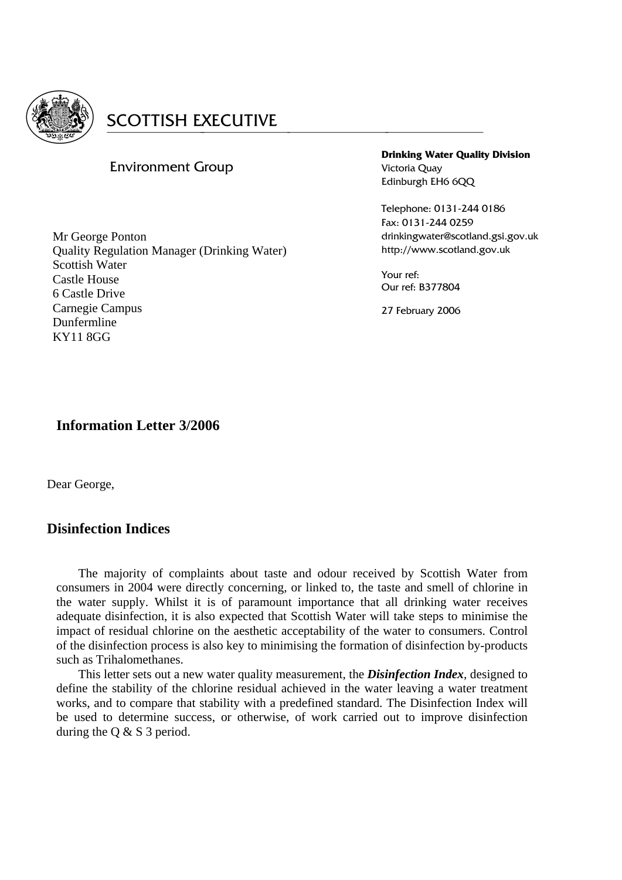

#### Environment Group

**Drinking Water Quality Division**  Victoria Quay Edinburgh EH6 6OO

Telephone: 0131-244 0186 Fax: 0131-244 0259 drinkingwater@scotland.gsi.gov.uk http://www.scotland.gov.uk

Your ref: Our ref: B377804

27 February 2006

Mr George Ponton Quality Regulation Manager (Drinking Water) Scottish Water Castle House 6 Castle Drive Carnegie Campus Dunfermline KY11 8GG

### **Information Letter 3/2006**

Dear George,

### **Disinfection Indices**

 The majority of complaints about taste and odour received by Scottish Water from consumers in 2004 were directly concerning, or linked to, the taste and smell of chlorine in the water supply. Whilst it is of paramount importance that all drinking water receives adequate disinfection, it is also expected that Scottish Water will take steps to minimise the impact of residual chlorine on the aesthetic acceptability of the water to consumers. Control of the disinfection process is also key to minimising the formation of disinfection by-products such as Trihalomethanes.

 This letter sets out a new water quality measurement, the *Disinfection Index*, designed to define the stability of the chlorine residual achieved in the water leaving a water treatment works, and to compare that stability with a predefined standard. The Disinfection Index will be used to determine success, or otherwise, of work carried out to improve disinfection during the Q & S 3 period.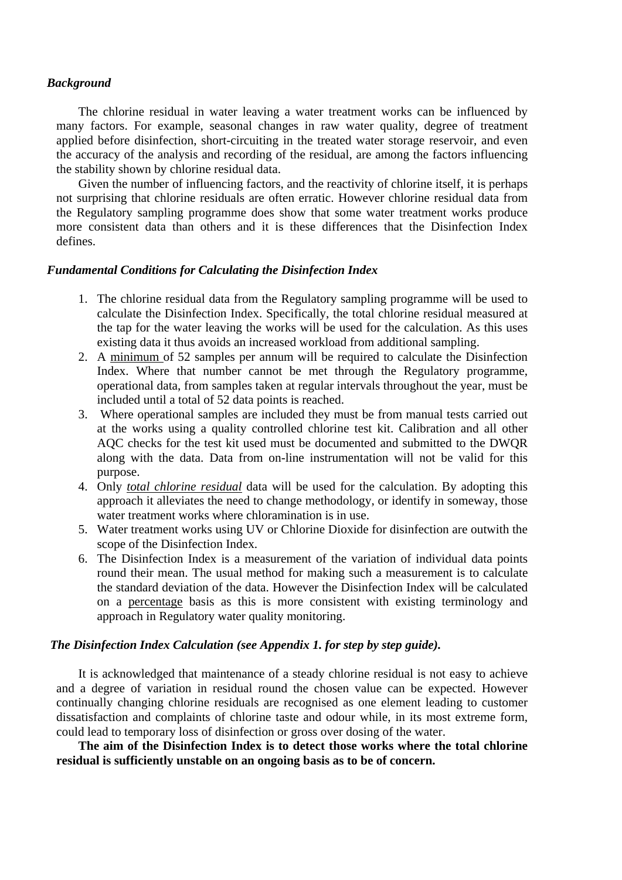#### *Background*

 The chlorine residual in water leaving a water treatment works can be influenced by many factors. For example, seasonal changes in raw water quality, degree of treatment applied before disinfection, short-circuiting in the treated water storage reservoir, and even the accuracy of the analysis and recording of the residual, are among the factors influencing the stability shown by chlorine residual data.

 Given the number of influencing factors, and the reactivity of chlorine itself, it is perhaps not surprising that chlorine residuals are often erratic. However chlorine residual data from the Regulatory sampling programme does show that some water treatment works produce more consistent data than others and it is these differences that the Disinfection Index defines.

#### *Fundamental Conditions for Calculating the Disinfection Index*

- 1. The chlorine residual data from the Regulatory sampling programme will be used to calculate the Disinfection Index. Specifically, the total chlorine residual measured at the tap for the water leaving the works will be used for the calculation. As this uses existing data it thus avoids an increased workload from additional sampling.
- 2. A minimum of 52 samples per annum will be required to calculate the Disinfection Index. Where that number cannot be met through the Regulatory programme, operational data, from samples taken at regular intervals throughout the year, must be included until a total of 52 data points is reached.
- 3. Where operational samples are included they must be from manual tests carried out at the works using a quality controlled chlorine test kit. Calibration and all other AQC checks for the test kit used must be documented and submitted to the DWQR along with the data. Data from on-line instrumentation will not be valid for this purpose.
- 4. Only *total chlorine residual* data will be used for the calculation. By adopting this approach it alleviates the need to change methodology, or identify in someway, those water treatment works where chloramination is in use.
- 5. Water treatment works using UV or Chlorine Dioxide for disinfection are outwith the scope of the Disinfection Index.
- 6. The Disinfection Index is a measurement of the variation of individual data points round their mean. The usual method for making such a measurement is to calculate the standard deviation of the data. However the Disinfection Index will be calculated on a percentage basis as this is more consistent with existing terminology and approach in Regulatory water quality monitoring.

#### *The Disinfection Index Calculation (see Appendix 1. for step by step guide).*

 It is acknowledged that maintenance of a steady chlorine residual is not easy to achieve and a degree of variation in residual round the chosen value can be expected. However continually changing chlorine residuals are recognised as one element leading to customer dissatisfaction and complaints of chlorine taste and odour while, in its most extreme form, could lead to temporary loss of disinfection or gross over dosing of the water.

 **The aim of the Disinfection Index is to detect those works where the total chlorine residual is sufficiently unstable on an ongoing basis as to be of concern.**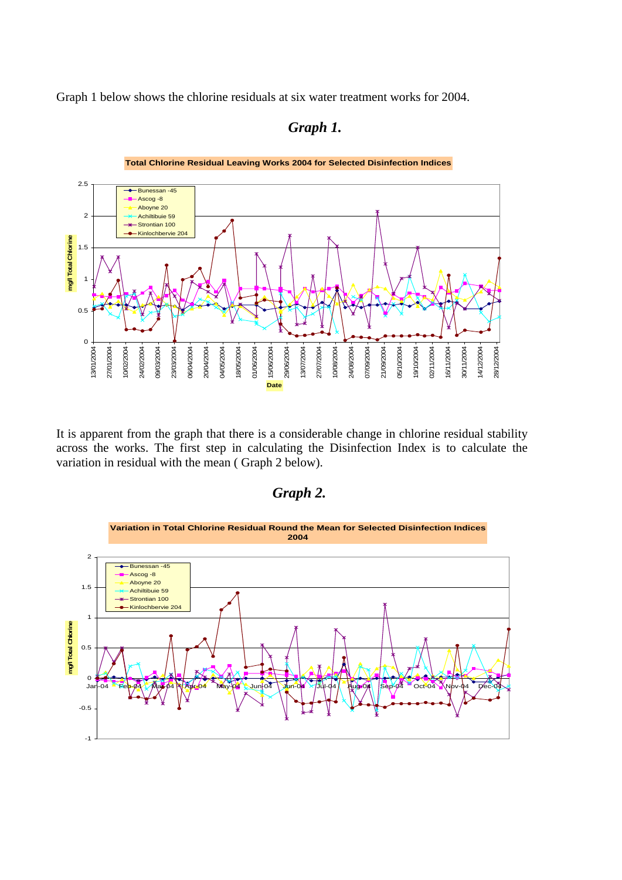Graph 1 below shows the chlorine residuals at six water treatment works for 2004.



 *Graph 1.* 

 It is apparent from the graph that there is a considerable change in chlorine residual stability across the works. The first step in calculating the Disinfection Index is to calculate the variation in residual with the mean ( Graph 2 below).



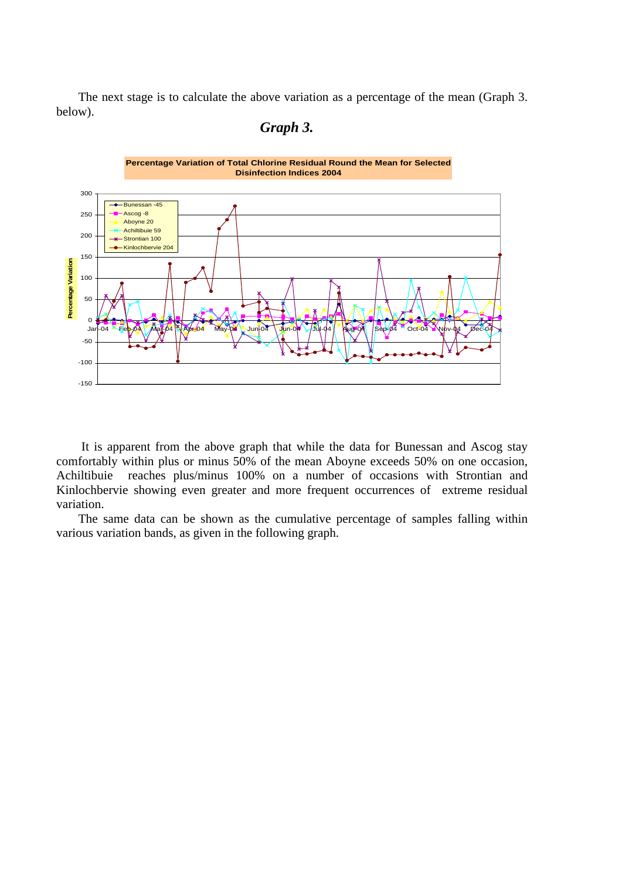The next stage is to calculate the above variation as a percentage of the mean (Graph 3. below).

### *Graph 3.*



 It is apparent from the above graph that while the data for Bunessan and Ascog stay comfortably within plus or minus 50% of the mean Aboyne exceeds 50% on one occasion, Achiltibuie reaches plus/minus 100% on a number of occasions with Strontian and Kinlochbervie showing even greater and more frequent occurrences of extreme residual variation.

 The same data can be shown as the cumulative percentage of samples falling within various variation bands, as given in the following graph.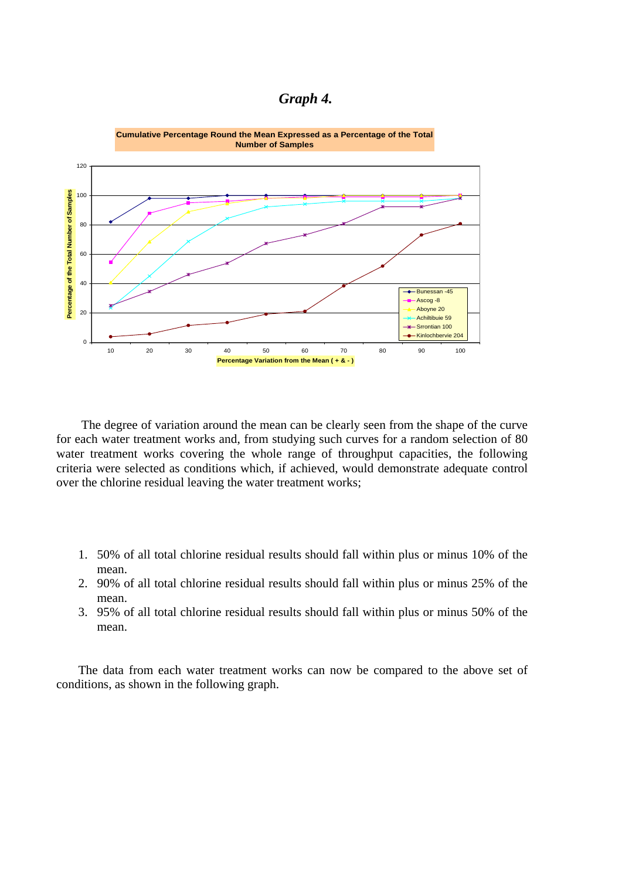



 The degree of variation around the mean can be clearly seen from the shape of the curve for each water treatment works and, from studying such curves for a random selection of 80 water treatment works covering the whole range of throughput capacities, the following criteria were selected as conditions which, if achieved, would demonstrate adequate control over the chlorine residual leaving the water treatment works;

- 1. 50% of all total chlorine residual results should fall within plus or minus 10% of the mean.
- 2. 90% of all total chlorine residual results should fall within plus or minus 25% of the mean.
- 3. 95% of all total chlorine residual results should fall within plus or minus 50% of the mean.

 The data from each water treatment works can now be compared to the above set of conditions, as shown in the following graph.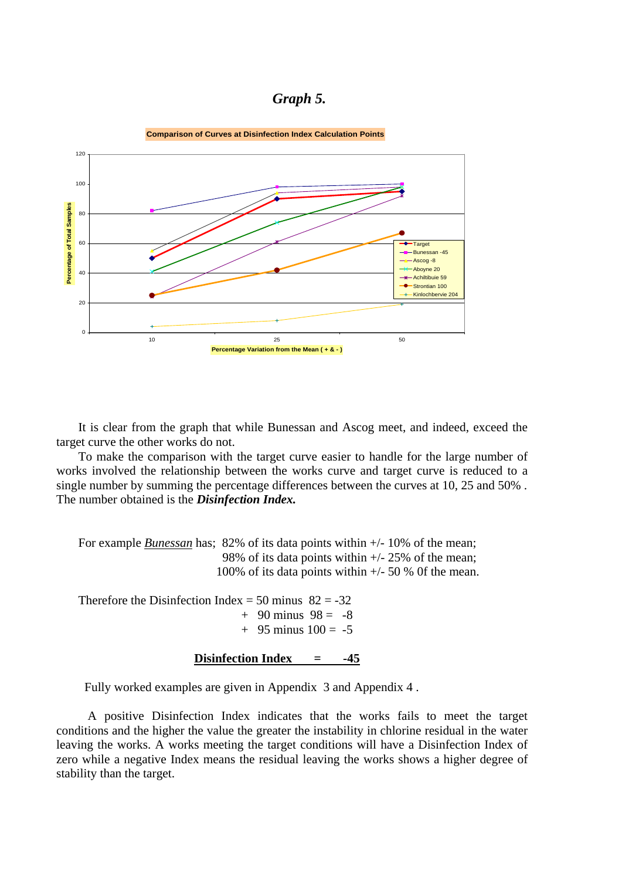#### *Graph 5.*



 It is clear from the graph that while Bunessan and Ascog meet, and indeed, exceed the target curve the other works do not.

 To make the comparison with the target curve easier to handle for the large number of works involved the relationship between the works curve and target curve is reduced to a single number by summing the percentage differences between the curves at 10, 25 and 50% . The number obtained is the *Disinfection Index.* 

For example *Bunessan* has; 82% of its data points within  $+/- 10\%$  of the mean; 98% of its data points within +/- 25% of the mean; 100% of its data points within  $+/-$  50 % 0f the mean.

Therefore the Disinfection Index = 50 minus  $82 = -32$  $+$  90 minus 98 = -8  $+$  95 minus  $100 = -5$ 

**Disinfection Index = -45**

Fully worked examples are given in Appendix 3 and Appendix 4 .

 A positive Disinfection Index indicates that the works fails to meet the target conditions and the higher the value the greater the instability in chlorine residual in the water leaving the works. A works meeting the target conditions will have a Disinfection Index of zero while a negative Index means the residual leaving the works shows a higher degree of stability than the target.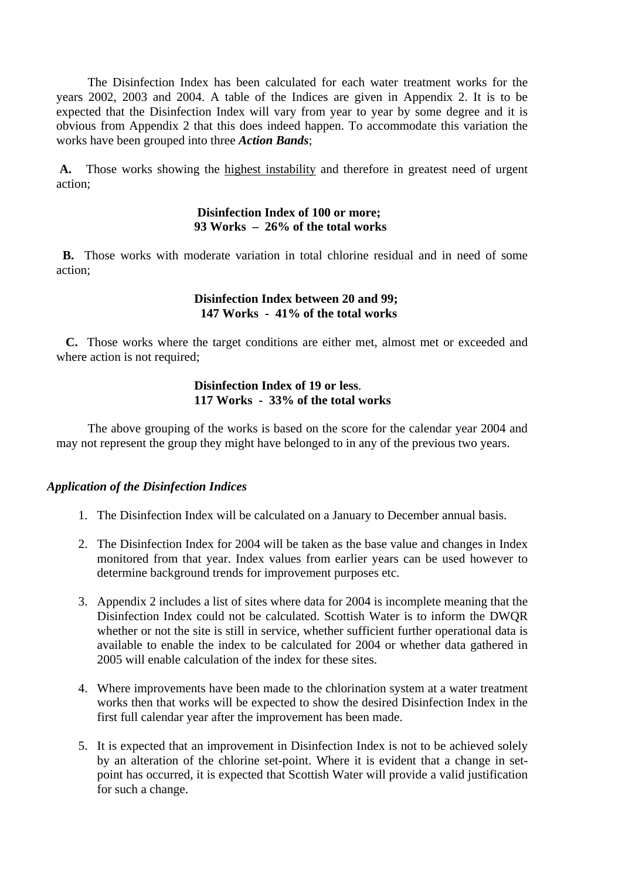The Disinfection Index has been calculated for each water treatment works for the years 2002, 2003 and 2004. A table of the Indices are given in Appendix 2. It is to be expected that the Disinfection Index will vary from year to year by some degree and it is obvious from Appendix 2 that this does indeed happen. To accommodate this variation the works have been grouped into three *Action Bands*;

 **A.** Those works showing the highest instability and therefore in greatest need of urgent action;

#### **Disinfection Index of 100 or more; 93 Works – 26% of the total works**

 **B.** Those works with moderate variation in total chlorine residual and in need of some action;

#### **Disinfection Index between 20 and 99; 147 Works - 41% of the total works**

 **C.** Those works where the target conditions are either met, almost met or exceeded and where action is not required;

#### **Disinfection Index of 19 or less**. **117 Works - 33% of the total works**

 The above grouping of the works is based on the score for the calendar year 2004 and may not represent the group they might have belonged to in any of the previous two years.

#### *Application of the Disinfection Indices*

- 1. The Disinfection Index will be calculated on a January to December annual basis.
- 2. The Disinfection Index for 2004 will be taken as the base value and changes in Index monitored from that year. Index values from earlier years can be used however to determine background trends for improvement purposes etc.
- 3. Appendix 2 includes a list of sites where data for 2004 is incomplete meaning that the Disinfection Index could not be calculated. Scottish Water is to inform the DWQR whether or not the site is still in service, whether sufficient further operational data is available to enable the index to be calculated for 2004 or whether data gathered in 2005 will enable calculation of the index for these sites.
- 4. Where improvements have been made to the chlorination system at a water treatment works then that works will be expected to show the desired Disinfection Index in the first full calendar year after the improvement has been made.
- 5. It is expected that an improvement in Disinfection Index is not to be achieved solely by an alteration of the chlorine set-point. Where it is evident that a change in setpoint has occurred, it is expected that Scottish Water will provide a valid justification for such a change.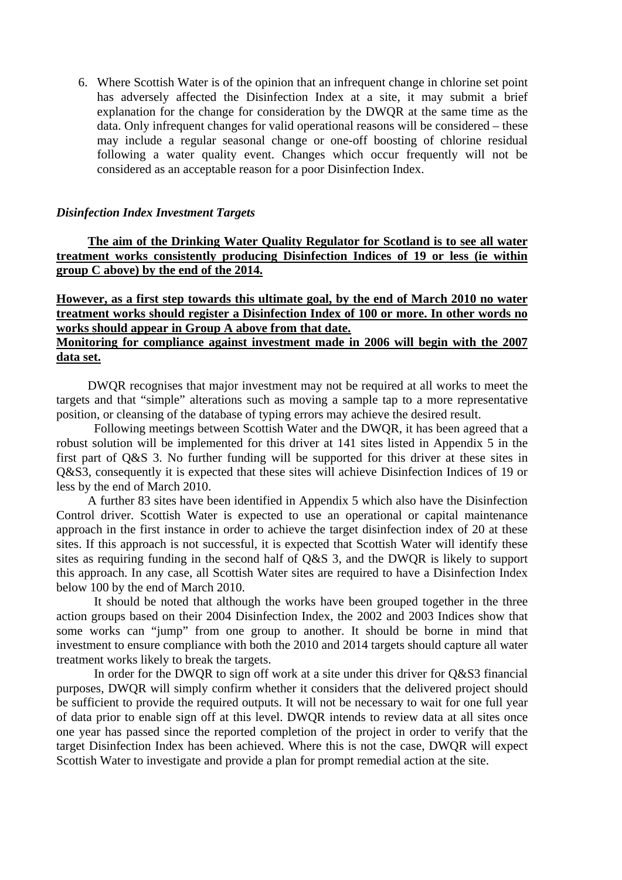6. Where Scottish Water is of the opinion that an infrequent change in chlorine set point has adversely affected the Disinfection Index at a site, it may submit a brief explanation for the change for consideration by the DWQR at the same time as the data. Only infrequent changes for valid operational reasons will be considered – these may include a regular seasonal change or one-off boosting of chlorine residual following a water quality event. Changes which occur frequently will not be considered as an acceptable reason for a poor Disinfection Index.

#### *Disinfection Index Investment Targets*

 **The aim of the Drinking Water Quality Regulator for Scotland is to see all water treatment works consistently producing Disinfection Indices of 19 or less (ie within group C above) by the end of the 2014.** 

#### **However, as a first step towards this ultimate goal, by the end of March 2010 no water treatment works should register a Disinfection Index of 100 or more. In other words no works should appear in Group A above from that date. Monitoring for compliance against investment made in 2006 will begin with the 2007 data set.**

 DWQR recognises that major investment may not be required at all works to meet the targets and that "simple" alterations such as moving a sample tap to a more representative position, or cleansing of the database of typing errors may achieve the desired result.

 Following meetings between Scottish Water and the DWQR, it has been agreed that a robust solution will be implemented for this driver at 141 sites listed in Appendix 5 in the first part of Q&S 3. No further funding will be supported for this driver at these sites in Q&S3, consequently it is expected that these sites will achieve Disinfection Indices of 19 or less by the end of March 2010.

 A further 83 sites have been identified in Appendix 5 which also have the Disinfection Control driver. Scottish Water is expected to use an operational or capital maintenance approach in the first instance in order to achieve the target disinfection index of 20 at these sites. If this approach is not successful, it is expected that Scottish Water will identify these sites as requiring funding in the second half of Q&S 3, and the DWQR is likely to support this approach. In any case, all Scottish Water sites are required to have a Disinfection Index below 100 by the end of March 2010.

 It should be noted that although the works have been grouped together in the three action groups based on their 2004 Disinfection Index, the 2002 and 2003 Indices show that some works can "jump" from one group to another. It should be borne in mind that investment to ensure compliance with both the 2010 and 2014 targets should capture all water treatment works likely to break the targets.

 In order for the DWQR to sign off work at a site under this driver for Q&S3 financial purposes, DWQR will simply confirm whether it considers that the delivered project should be sufficient to provide the required outputs. It will not be necessary to wait for one full year of data prior to enable sign off at this level. DWQR intends to review data at all sites once one year has passed since the reported completion of the project in order to verify that the target Disinfection Index has been achieved. Where this is not the case, DWQR will expect Scottish Water to investigate and provide a plan for prompt remedial action at the site.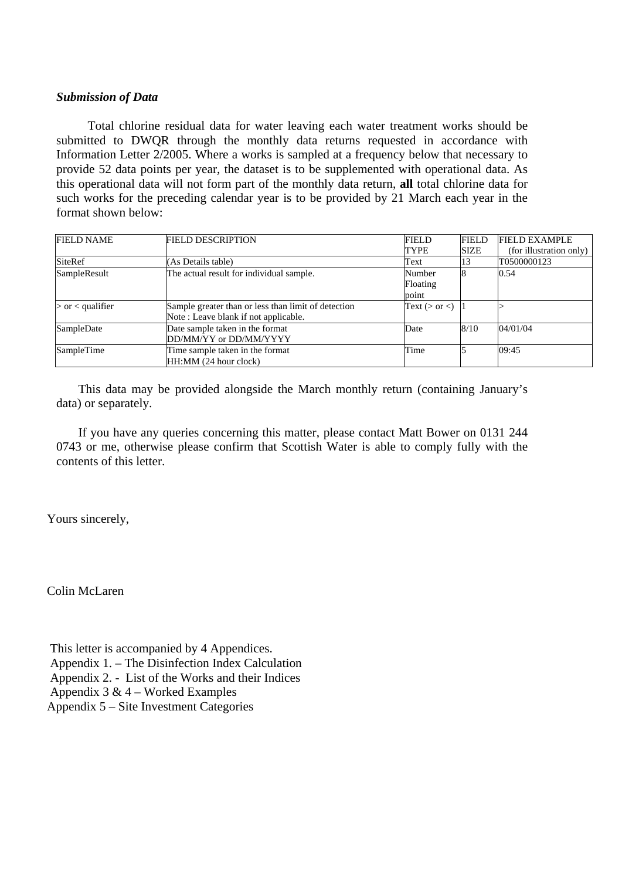#### *Submission of Data*

 Total chlorine residual data for water leaving each water treatment works should be submitted to DWQR through the monthly data returns requested in accordance with Information Letter 2/2005. Where a works is sampled at a frequency below that necessary to provide 52 data points per year, the dataset is to be supplemented with operational data. As this operational data will not form part of the monthly data return, **all** total chlorine data for such works for the preceding calendar year is to be provided by 21 March each year in the format shown below:

| <b>FIELD NAME</b>    | <b>FIELD DESCRIPTION</b>                            | <b>FIELD</b>        | <b>FIELD</b> | <b>FIELD EXAMPLE</b>    |
|----------------------|-----------------------------------------------------|---------------------|--------------|-------------------------|
|                      |                                                     | <b>TYPE</b>         | <b>SIZE</b>  | (for illustration only) |
| SiteRef              | (As Details table)                                  | Text                | 13           | T0500000123             |
| SampleResult         | The actual result for individual sample.            | Number              |              | 0.54                    |
|                      |                                                     | Floating            |              |                         |
|                      |                                                     | point               |              |                         |
| $>$ or $<$ qualifier | Sample greater than or less than limit of detection | Text ( $>$ or $<$ ) |              |                         |
|                      | Note: Leave blank if not applicable.                |                     |              |                         |
| SampleDate           | Date sample taken in the format                     | Date                | 8/10         | 04/01/04                |
|                      | DD/MM/YY or DD/MM/YYYY                              |                     |              |                         |
| SampleTime           | Time sample taken in the format                     | Time                |              | 09:45                   |
|                      | HH:MM (24 hour clock)                               |                     |              |                         |

 This data may be provided alongside the March monthly return (containing January's data) or separately.

 If you have any queries concerning this matter, please contact Matt Bower on 0131 244 0743 or me, otherwise please confirm that Scottish Water is able to comply fully with the contents of this letter.

Yours sincerely,

Colin McLaren

 This letter is accompanied by 4 Appendices. Appendix 1. – The Disinfection Index Calculation Appendix 2. - List of the Works and their Indices Appendix  $3 \& 4$  – Worked Examples Appendix 5 – Site Investment Categories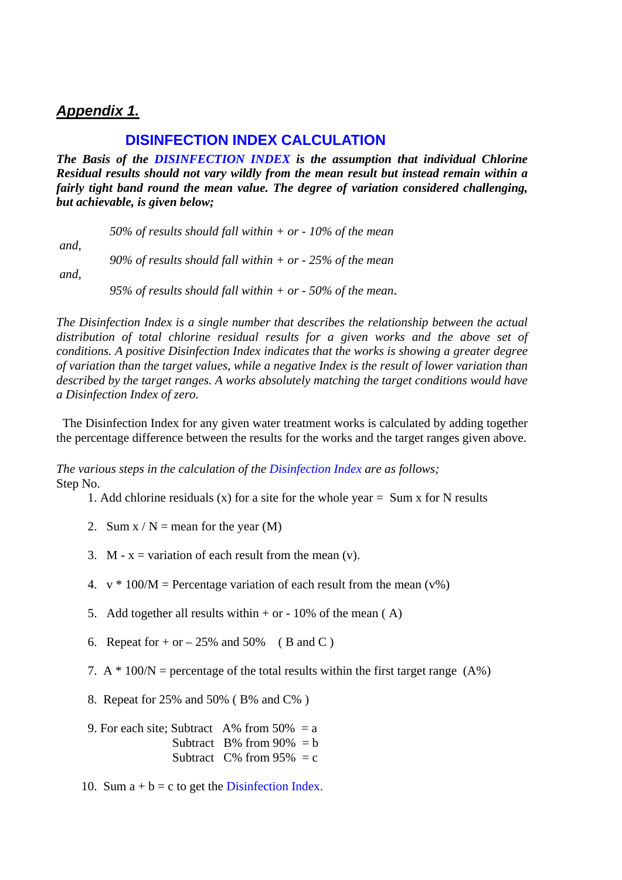## *Appendix 1.*

## **DISINFECTION INDEX CALCULATION**

*The Basis of the DISINFECTION INDEX is the assumption that individual Chlorine Residual results should not vary wildly from the mean result but instead remain within a fairly tight band round the mean value. The degree of variation considered challenging, but achievable, is given below;* 

|      | 50% of results should fall within $+$ or $-$ 10% of the mean  |
|------|---------------------------------------------------------------|
| and, | 90% of results should fall within $+$ or $-$ 25% of the mean  |
| and, |                                                               |
|      | 95% of results should fall within $+$ or $-$ 50% of the mean. |

*The Disinfection Index is a single number that describes the relationship between the actual distribution of total chlorine residual results for a given works and the above set of conditions. A positive Disinfection Index indicates that the works is showing a greater degree of variation than the target values, while a negative Index is the result of lower variation than described by the target ranges. A works absolutely matching the target conditions would have a Disinfection Index of zero.* 

The Disinfection Index for any given water treatment works is calculated by adding together the percentage difference between the results for the works and the target ranges given above.

*The various steps in the calculation of the Disinfection Index are as follows;*  Step No.

- 1. Add chlorine residuals (x) for a site for the whole year  $=$  Sum x for N results
- 2. Sum  $x / N$  = mean for the year (M)
- 3. M  $x =$  variation of each result from the mean  $(y)$ .
- 4.  $v * 100/M$  = Percentage variation of each result from the mean (v%)
- 5. Add together all results within  $+$  or  $-$  10% of the mean (A)
- 6. Repeat for  $+$  or  $-$  25% and 50% (B and C)
- 7. A  $*$  100/N = percentage of the total results within the first target range (A%)
- 8. Repeat for 25% and 50% ( B% and C% )

9. For each site: Subtract A% from  $50\% = a$ Subtract B% from  $90\% = h$ Subtract  $C\%$  from 95% = c

10. Sum  $a + b = c$  to get the Disinfection Index.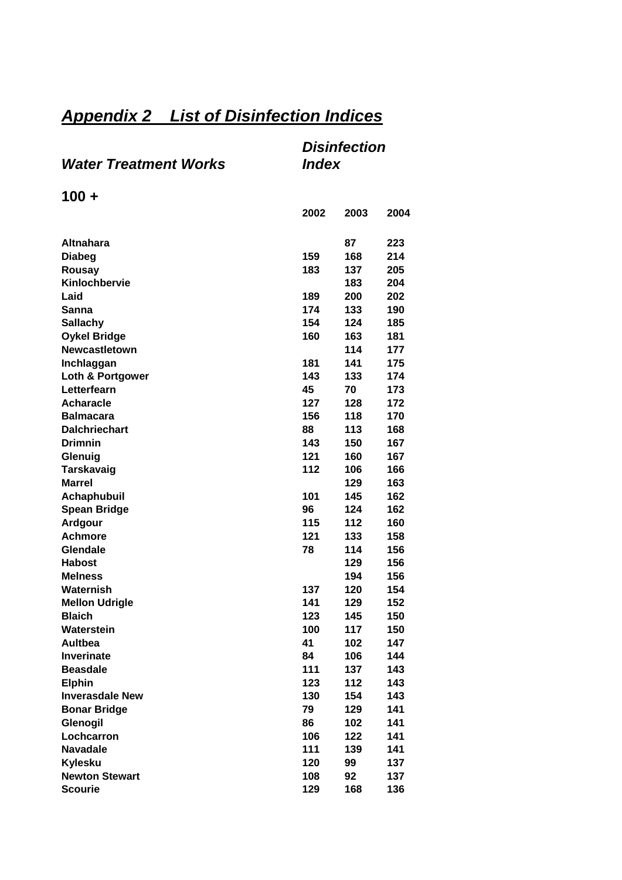# *Appendix 2 List of Disinfection Indices*

|                              | <b>Disinfection</b> |
|------------------------------|---------------------|
| <b>Water Treatment Works</b> | <i><b>Index</b></i> |

**100 +** 

|                        | 2002 | 2003 | 2004 |
|------------------------|------|------|------|
|                        |      |      |      |
| <b>Altnahara</b>       |      | 87   | 223  |
| <b>Diabeg</b>          | 159  | 168  | 214  |
| Rousay                 | 183  | 137  | 205  |
| Kinlochbervie          |      | 183  | 204  |
| Laid                   | 189  | 200  | 202  |
| Sanna                  | 174  | 133  | 190  |
| <b>Sallachy</b>        | 154  | 124  | 185  |
| <b>Oykel Bridge</b>    | 160  | 163  | 181  |
| <b>Newcastletown</b>   |      | 114  | 177  |
| Inchlaggan             | 181  | 141  | 175  |
| Loth & Portgower       | 143  | 133  | 174  |
| Letterfearn            | 45   | 70   | 173  |
| <b>Acharacle</b>       | 127  | 128  | 172  |
| <b>Balmacara</b>       | 156  | 118  | 170  |
| <b>Dalchriechart</b>   | 88   | 113  | 168  |
| <b>Drimnin</b>         | 143  | 150  | 167  |
| Glenuig                | 121  | 160  | 167  |
| <b>Tarskavaig</b>      | 112  | 106  | 166  |
| <b>Marrel</b>          |      | 129  | 163  |
| Achaphubuil            | 101  | 145  | 162  |
| <b>Spean Bridge</b>    | 96   | 124  | 162  |
| Ardgour                | 115  | 112  | 160  |
| <b>Achmore</b>         | 121  | 133  | 158  |
| Glendale               | 78   | 114  | 156  |
| <b>Habost</b>          |      | 129  | 156  |
| <b>Melness</b>         |      | 194  | 156  |
| Waternish              | 137  | 120  | 154  |
| <b>Mellon Udrigle</b>  | 141  | 129  | 152  |
| <b>Blaich</b>          | 123  | 145  | 150  |
| Waterstein             | 100  | 117  | 150  |
| <b>Aultbea</b>         | 41   | 102  | 147  |
| <b>Inverinate</b>      | 84   | 106  | 144  |
| <b>Beasdale</b>        | 111  | 137  | 143  |
| <b>Elphin</b>          | 123  | 112  | 143  |
| <b>Inverasdale New</b> | 130  | 154  | 143  |
| <b>Bonar Bridge</b>    | 79   | 129  | 141  |
| Glenogil               | 86   | 102  | 141  |
| Lochcarron             | 106  | 122  | 141  |
| <b>Navadale</b>        | 111  | 139  | 141  |
| <b>Kylesku</b>         | 120  | 99   | 137  |
| <b>Newton Stewart</b>  | 108  | 92   | 137  |
| <b>Scourie</b>         | 129  | 168  | 136  |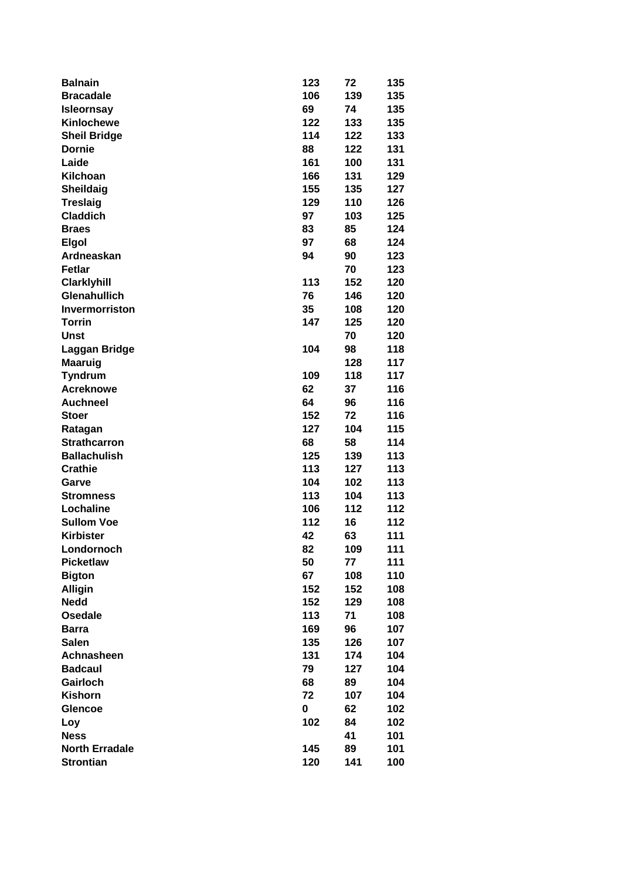| <b>Balnain</b>        | 123 | 72  | 135 |
|-----------------------|-----|-----|-----|
| <b>Bracadale</b>      | 106 | 139 | 135 |
| <b>Isleornsay</b>     | 69  | 74  | 135 |
| <b>Kinlochewe</b>     | 122 | 133 | 135 |
| <b>Sheil Bridge</b>   | 114 | 122 | 133 |
| <b>Dornie</b>         | 88  | 122 | 131 |
| Laide                 | 161 | 100 | 131 |
| Kilchoan              | 166 | 131 | 129 |
| Sheildaig             | 155 | 135 | 127 |
| <b>Treslaig</b>       | 129 | 110 | 126 |
| <b>Claddich</b>       | 97  | 103 | 125 |
| <b>Braes</b>          | 83  | 85  | 124 |
| <b>Elgol</b>          | 97  | 68  | 124 |
| Ardneaskan            | 94  | 90  | 123 |
| <b>Fetlar</b>         |     | 70  | 123 |
| <b>Clarklyhill</b>    | 113 | 152 | 120 |
| <b>Glenahullich</b>   | 76  | 146 | 120 |
|                       |     |     |     |
| <b>Invermorriston</b> | 35  | 108 | 120 |
| <b>Torrin</b>         | 147 | 125 | 120 |
| <b>Unst</b>           |     | 70  | 120 |
| Laggan Bridge         | 104 | 98  | 118 |
| <b>Maaruig</b>        |     | 128 | 117 |
| <b>Tyndrum</b>        | 109 | 118 | 117 |
| <b>Acreknowe</b>      | 62  | 37  | 116 |
| <b>Auchneel</b>       | 64  | 96  | 116 |
| <b>Stoer</b>          | 152 | 72  | 116 |
| Ratagan               | 127 | 104 | 115 |
| <b>Strathcarron</b>   | 68  | 58  | 114 |
| <b>Ballachulish</b>   | 125 | 139 | 113 |
| <b>Crathie</b>        | 113 | 127 | 113 |
| Garve                 | 104 | 102 | 113 |
| <b>Stromness</b>      | 113 | 104 | 113 |
| Lochaline             | 106 | 112 | 112 |
| <b>Sullom Voe</b>     | 112 | 16  | 112 |
| <b>Kirbister</b>      | 42  | 63  | 111 |
| Londornoch            | 82  | 109 | 111 |
| <b>Picketlaw</b>      | 50  | 77  | 111 |
| <b>Bigton</b>         | 67  | 108 | 110 |
| <b>Alligin</b>        | 152 | 152 | 108 |
| <b>Nedd</b>           | 152 | 129 | 108 |
| <b>Osedale</b>        | 113 | 71  | 108 |
| <b>Barra</b>          | 169 | 96  | 107 |
| <b>Salen</b>          | 135 | 126 | 107 |
| Achnasheen            | 131 | 174 | 104 |
| <b>Badcaul</b>        | 79  | 127 | 104 |
| Gairloch              | 68  | 89  | 104 |
| <b>Kishorn</b>        | 72  | 107 | 104 |
| <b>Glencoe</b>        | 0   | 62  | 102 |
| Loy                   | 102 | 84  | 102 |
| <b>Ness</b>           |     | 41  | 101 |
| <b>North Erradale</b> | 145 | 89  | 101 |
| <b>Strontian</b>      | 120 | 141 | 100 |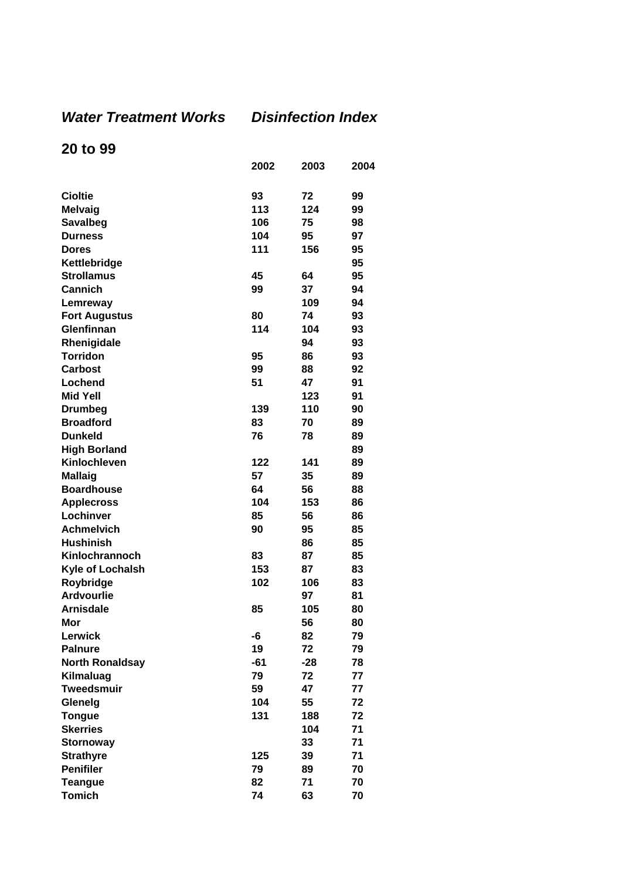## *Water Treatment Works Disinfection Index*

## **20 to 99**

|                        | 2002  | 2003  | 2004 |
|------------------------|-------|-------|------|
|                        |       |       |      |
| <b>Cioltie</b>         | 93    | 72    | 99   |
| <b>Melvaig</b>         | 113   | 124   | 99   |
| <b>Savalbeg</b>        | 106   | 75    | 98   |
| <b>Durness</b>         | 104   | 95    | 97   |
| <b>Dores</b>           | 111   | 156   | 95   |
| Kettlebridge           |       |       | 95   |
| <b>Strollamus</b>      | 45    | 64    | 95   |
| Cannich                | 99    | 37    | 94   |
| Lemreway               |       | 109   | 94   |
| <b>Fort Augustus</b>   | 80    | 74    | 93   |
| Glenfinnan             | 114   | 104   | 93   |
| Rhenigidale            |       | 94    | 93   |
| <b>Torridon</b>        | 95    | 86    | 93   |
| <b>Carbost</b>         | 99    | 88    | 92   |
| Lochend                | 51    | 47    | 91   |
| <b>Mid Yell</b>        |       | 123   | 91   |
| <b>Drumbeg</b>         | 139   | 110   | 90   |
| <b>Broadford</b>       | 83    | 70    | 89   |
| <b>Dunkeld</b>         | 76    | 78    | 89   |
| <b>High Borland</b>    |       |       | 89   |
| Kinlochleven           | 122   | 141   | 89   |
| <b>Mallaig</b>         | 57    | 35    | 89   |
| <b>Boardhouse</b>      | 64    | 56    | 88   |
| <b>Applecross</b>      | 104   | 153   | 86   |
| Lochinver              | 85    | 56    | 86   |
| <b>Achmelvich</b>      | 90    | 95    | 85   |
| <b>Hushinish</b>       |       | 86    | 85   |
| Kinlochrannoch         | 83    | 87    | 85   |
| Kyle of Lochalsh       | 153   | 87    | 83   |
| Roybridge              | 102   | 106   | 83   |
| <b>Ardvourlie</b>      |       | 97    | 81   |
| <b>Arnisdale</b>       | 85    | 105   | 80   |
| Mor                    |       | 56    | 80   |
| Lerwick                | -6    | 82    | 79   |
| <b>Palnure</b>         | 19    | 72    | 79   |
| <b>North Ronaldsay</b> | $-61$ | $-28$ | 78   |
| Kilmaluag              | 79    | 72    | 77   |
| <b>Tweedsmuir</b>      | 59    | 47    | 77   |
| Glenelg                | 104   | 55    | 72   |
| <b>Tongue</b>          | 131   | 188   | 72   |
| <b>Skerries</b>        |       | 104   | 71   |
| <b>Stornoway</b>       |       | 33    | 71   |
| <b>Strathyre</b>       | 125   | 39    | 71   |
| <b>Penifiler</b>       | 79    | 89    | 70   |
| <b>Teangue</b>         | 82    | 71    | 70   |
| <b>Tomich</b>          | 74    | 63    | 70   |
|                        |       |       |      |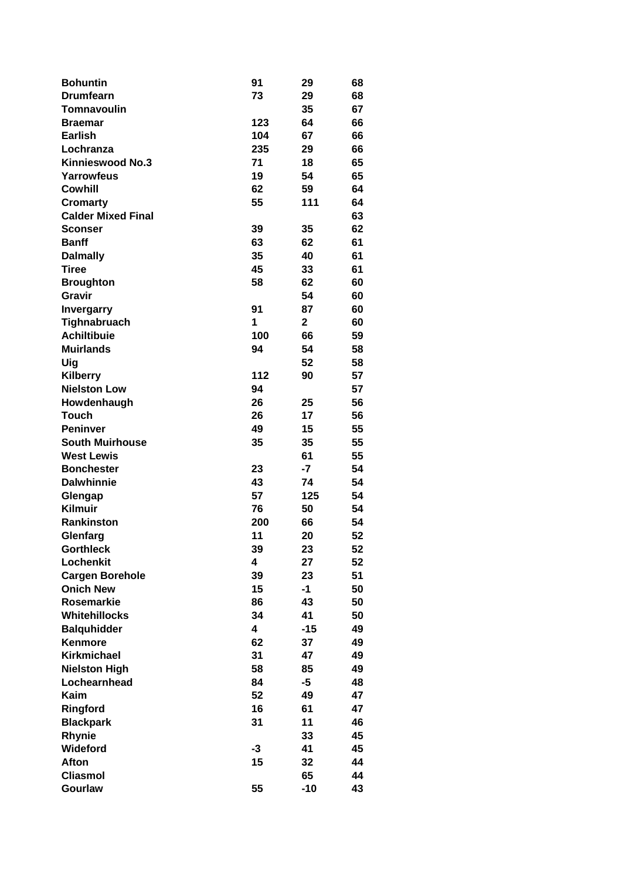| <b>Bohuntin</b>           | 91   | 29           | 68 |
|---------------------------|------|--------------|----|
| <b>Drumfearn</b>          | 73   | 29           | 68 |
| Tomnavoulin               |      | 35           | 67 |
| <b>Braemar</b>            | 123  | 64           | 66 |
| <b>Earlish</b>            | 104  | 67           | 66 |
| Lochranza                 | 235  | 29           | 66 |
| <b>Kinnieswood No.3</b>   | 71   | 18           | 65 |
| Yarrowfeus                | 19   | 54           | 65 |
| <b>Cowhill</b>            | 62   | 59           | 64 |
| <b>Cromarty</b>           | 55   | 111          | 64 |
| <b>Calder Mixed Final</b> |      |              | 63 |
| <b>Sconser</b>            | 39   | 35           | 62 |
| <b>Banff</b>              | 63   | 62           | 61 |
| <b>Dalmally</b>           | 35   | 40           | 61 |
| <b>Tiree</b>              | 45   | 33           | 61 |
| <b>Broughton</b>          | 58   | 62           | 60 |
| Gravir                    |      | 54           | 60 |
| <b>Invergarry</b>         | 91   | 87           | 60 |
| Tighnabruach              | 1    | $\mathbf{2}$ | 60 |
| <b>Achiltibuie</b>        | 100  | 66           | 59 |
| <b>Muirlands</b>          | 94   | 54           | 58 |
| Uig                       |      | 52           | 58 |
| <b>Kilberry</b>           | 112  | 90           | 57 |
| <b>Nielston Low</b>       | 94   |              | 57 |
| Howdenhaugh               | 26   | 25           | 56 |
| <b>Touch</b>              | 26   | 17           | 56 |
| <b>Peninver</b>           | 49   | 15           | 55 |
| <b>South Muirhouse</b>    | 35   | 35           | 55 |
| <b>West Lewis</b>         |      | 61           | 55 |
| <b>Bonchester</b>         | 23   | -7           | 54 |
| <b>Dalwhinnie</b>         | 43   | 74           | 54 |
| Glengap                   | 57   | 125          | 54 |
| <b>Kilmuir</b>            | 76   | 50           | 54 |
| <b>Rankinston</b>         | 200  | 66           | 54 |
| Glenfarg                  | 11   | 20           | 52 |
| <b>Gorthleck</b>          | 39   | 23           | 52 |
| Lochenkit                 | 4    | 27           | 52 |
| <b>Cargen Borehole</b>    | 39   | 23           | 51 |
| <b>Onich New</b>          | 15   | $-1$         | 50 |
| <b>Rosemarkie</b>         | 86   | 43           | 50 |
| Whitehillocks             | 34   | 41           | 50 |
| <b>Balquhidder</b>        | 4    | $-15$        | 49 |
| <b>Kenmore</b>            | 62   | 37           | 49 |
| <b>Kirkmichael</b>        | 31   | 47           | 49 |
| <b>Nielston High</b>      | 58   | 85           | 49 |
| Lochearnhead              | 84   | $-5$         | 48 |
| Kaim                      | 52   | 49           | 47 |
| Ringford                  | 16   | 61           | 47 |
| <b>Blackpark</b>          | 31   | 11           | 46 |
| <b>Rhynie</b>             |      | 33           | 45 |
| Wideford                  | $-3$ | 41           | 45 |
| Afton                     | 15   | 32           | 44 |
| <b>Cliasmol</b>           |      | 65           | 44 |
| Gourlaw                   | 55   | $-10$        | 43 |
|                           |      |              |    |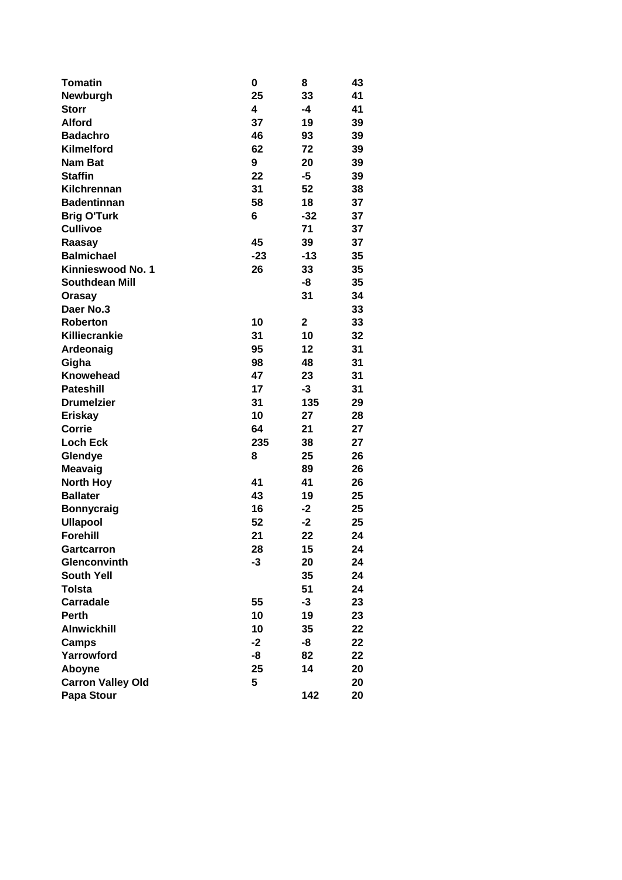| <b>Tomatin</b>           | 0     | 8     | 43 |
|--------------------------|-------|-------|----|
| Newburgh                 | 25    | 33    | 41 |
| <b>Storr</b>             | 4     | -4    | 41 |
| <b>Alford</b>            | 37    | 19    | 39 |
| <b>Badachro</b>          | 46    | 93    | 39 |
| Kilmelford               | 62    | 72    | 39 |
| <b>Nam Bat</b>           | 9     | 20    | 39 |
| <b>Staffin</b>           | 22    | $-5$  | 39 |
| Kilchrennan              | 31    | 52    | 38 |
| <b>Badentinnan</b>       | 58    | 18    | 37 |
| <b>Brig O'Turk</b>       | 6     | $-32$ | 37 |
| <b>Cullivoe</b>          |       | 71    | 37 |
| Raasay                   | 45    | 39    | 37 |
| <b>Balmichael</b>        | $-23$ | $-13$ | 35 |
| Kinnieswood No. 1        | 26    | 33    | 35 |
| <b>Southdean Mill</b>    |       | -8    | 35 |
| <b>Orasay</b>            |       | 31    | 34 |
| Daer No.3                |       |       | 33 |
| <b>Roberton</b>          | 10    | 2     | 33 |
| Killiecrankie            | 31    | 10    | 32 |
| Ardeonaig                | 95    | 12    | 31 |
| Gigha                    | 98    | 48    | 31 |
| <b>Knowehead</b>         | 47    | 23    | 31 |
| <b>Pateshill</b>         | 17    | $-3$  | 31 |
| <b>Drumelzier</b>        | 31    | 135   | 29 |
| <b>Eriskay</b>           | 10    | 27    | 28 |
| Corrie                   | 64    | 21    | 27 |
| <b>Loch Eck</b>          | 235   | 38    | 27 |
| Glendye                  | 8     | 25    | 26 |
| Meavaig                  |       | 89    | 26 |
| <b>North Hoy</b>         | 41    | 41    | 26 |
| <b>Ballater</b>          | 43    | 19    | 25 |
| <b>Bonnycraig</b>        | 16    | $-2$  | 25 |
| <b>Ullapool</b>          | 52    | $-2$  | 25 |
| <b>Forehill</b>          | 21    | 22    | 24 |
| <b>Gartcarron</b>        | 28    | 15    | 24 |
| <b>Glenconvinth</b>      | -3    | 20    | 24 |
| <b>South Yell</b>        |       | 35    | 24 |
| <b>Tolsta</b>            |       | 51    | 24 |
| <b>Carradale</b>         | 55    | -3    | 23 |
| <b>Perth</b>             | 10    | 19    | 23 |
| <b>Alnwickhill</b>       | 10    | 35    | 22 |
| Camps                    | $-2$  | -8    | 22 |
| Yarrowford               | -8    | 82    | 22 |
| Aboyne                   | 25    | 14    | 20 |
| <b>Carron Valley Old</b> | 5     |       | 20 |
| Papa Stour               |       | 142   | 20 |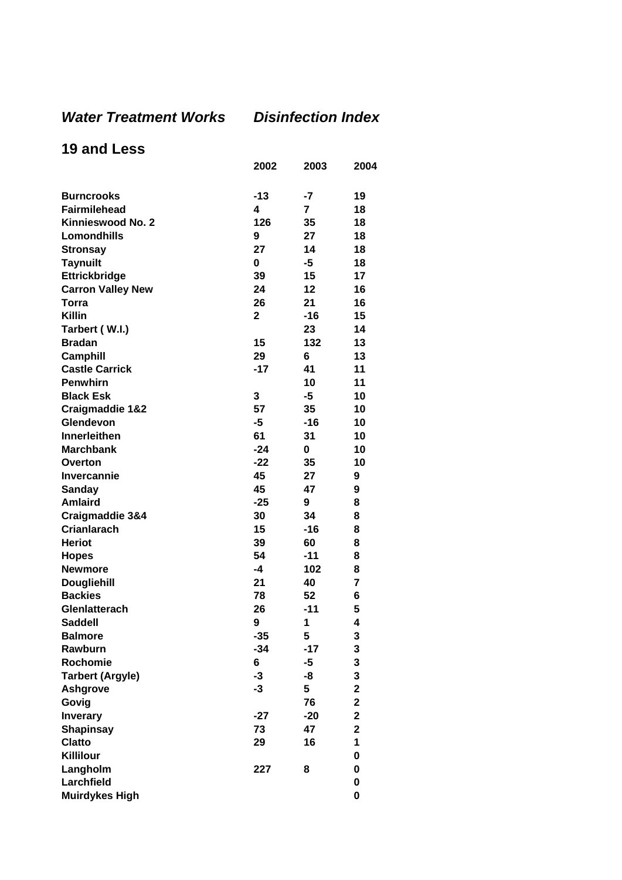## *Water Treatment Works Disinfection Index*

## **19 and Less**

|                          | 2002           | 2003           | 2004                    |
|--------------------------|----------------|----------------|-------------------------|
| <b>Burncrooks</b>        | $-13$          | -7             | 19                      |
| <b>Fairmilehead</b>      | 4              | $\overline{7}$ | 18                      |
| Kinnieswood No. 2        | 126            | 35             | 18                      |
| Lomondhills              | 9              | 27             | 18                      |
| <b>Stronsay</b>          | 27             | 14             | 18                      |
| <b>Taynuilt</b>          | 0              | -5             | 18                      |
| Ettrickbridge            | 39             | 15             | 17                      |
| <b>Carron Valley New</b> | 24             | 12             | 16                      |
| Torra                    | 26             | 21             | 16                      |
| <b>Killin</b>            | $\overline{2}$ | $-16$          | 15                      |
| Tarbert (W.I.)           |                | 23             | 14                      |
| <b>Bradan</b>            | 15             | 132            | 13                      |
| <b>Camphill</b>          | 29             | 6              | 13                      |
| <b>Castle Carrick</b>    | $-17$          | 41             | 11                      |
| <b>Penwhirn</b>          |                | 10             | 11                      |
| <b>Black Esk</b>         | 3              | $-5$           | 10                      |
| Craigmaddie 1&2          | 57             | 35             | 10                      |
| Glendevon                | -5             | $-16$          | 10                      |
| <b>Innerleithen</b>      | 61             | 31             | 10                      |
| <b>Marchbank</b>         | $-24$          | 0              | 10                      |
| Overton                  | $-22$          | 35             | 10                      |
| <b>Invercannie</b>       | 45             | 27             | 9                       |
| Sanday                   | 45             | 47             | 9                       |
| <b>Amlaird</b>           | $-25$          | 9              | 8                       |
| Craigmaddie 3&4          | 30             | 34             | 8                       |
| <b>Crianlarach</b>       | 15             | -16            | 8                       |
| <b>Heriot</b>            | 39             | 60             | 8                       |
| <b>Hopes</b>             | 54             | $-11$          | 8                       |
| <b>Newmore</b>           | -4             | 102            | 8                       |
| <b>Dougliehill</b>       | 21             | 40             | $\overline{7}$          |
| <b>Backies</b>           | 78             | 52             | 6                       |
| <b>Glenlatterach</b>     | 26             | $-11$          | 5                       |
| Saddell                  | 9              | 1.             | 4                       |
| <b>Balmore</b>           | $-35$          | 5              | 3                       |
| Rawburn                  | $-34$          | $-17$          | 3                       |
| Rochomie                 | 6              | $-5$           | 3                       |
| <b>Tarbert (Argyle)</b>  | $-3$           | -8             | 3                       |
| <b>Ashgrove</b>          | $-3$           | 5              | $\mathbf 2$             |
| Govig                    |                | 76             | $\mathbf 2$             |
| <b>Inverary</b>          | $-27$          | $-20$          | $\overline{\mathbf{2}}$ |
| <b>Shapinsay</b>         | 73             | 47             | $\mathbf 2$             |
| <b>Clatto</b>            | 29             | 16             | 1                       |
| Killilour                |                |                | 0                       |
| Langholm                 | 227            | 8              | $\mathbf 0$             |
| Larchfield               |                |                | 0                       |
| <b>Muirdykes High</b>    |                |                | $\mathbf 0$             |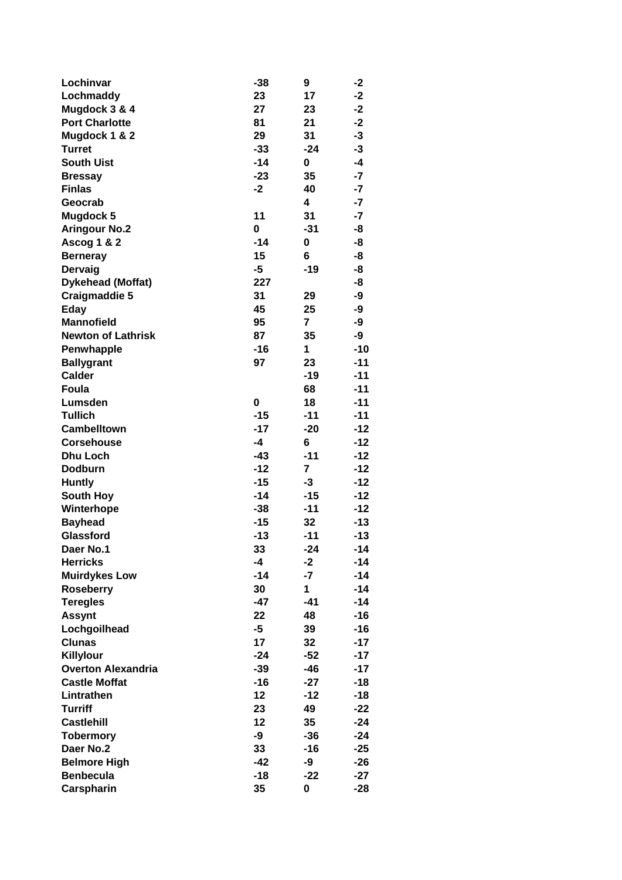| Lochinvar                 | $-38$ | 9            | -2    |
|---------------------------|-------|--------------|-------|
| Lochmaddy                 | 23    | 17           | $-2$  |
| Mugdock 3 & 4             | 27    | 23           | $-2$  |
| <b>Port Charlotte</b>     | 81    | 21           | $-2$  |
| Mugdock 1 & 2             | 29    | 31           | -3    |
| <b>Turret</b>             | $-33$ | -24          | $-3$  |
| <b>South Uist</b>         | $-14$ | 0            | $-4$  |
| <b>Bressay</b>            | $-23$ | 35           | $-7$  |
| <b>Finlas</b>             | $-2$  | 40           | $-7$  |
| Geocrab                   |       | 4            | $-7$  |
| <b>Mugdock 5</b>          | 11    | 31           | $-7$  |
| <b>Aringour No.2</b>      | 0     | $-31$        | -8    |
| Ascog 1 & 2               | $-14$ | 0            | -8    |
| <b>Berneray</b>           | 15    | 6            | -8    |
| Dervaig                   | $-5$  | $-19$        | -8    |
| <b>Dykehead (Moffat)</b>  | 227   |              | -8    |
| Craigmaddie 5             | 31    | 29           | -9    |
| Eday                      | 45    | 25           | -9    |
| <b>Mannofield</b>         | 95    | 7            | -9    |
| <b>Newton of Lathrisk</b> | 87    | 35           | -9    |
| Penwhapple                | $-16$ | 1            | $-10$ |
| <b>Ballygrant</b>         | 97    | 23           | $-11$ |
| <b>Calder</b>             |       | $-19$        | $-11$ |
| Foula                     |       | 68           | $-11$ |
| Lumsden                   | 0     | 18           | $-11$ |
| <b>Tullich</b>            | $-15$ | $-11$        | $-11$ |
| <b>Cambelltown</b>        | $-17$ | $-20$        | $-12$ |
| <b>Corsehouse</b>         | $-4$  | 6            | $-12$ |
| <b>Dhu Loch</b>           | $-43$ | $-11$        | $-12$ |
| <b>Dodburn</b>            | $-12$ | 7            | $-12$ |
| <b>Huntly</b>             | $-15$ | -3           | $-12$ |
| <b>South Hoy</b>          | $-14$ | $-15$        | $-12$ |
| Winterhope                | $-38$ | $-11$        | $-12$ |
| <b>Bayhead</b>            | $-15$ | 32           | $-13$ |
| Glassford                 | $-13$ | $-11$        | $-13$ |
| Daer No.1                 | 33    | $-24$        | $-14$ |
| <b>Herricks</b>           | $-4$  | $-2$         | -14   |
| <b>Muirdykes Low</b>      | $-14$ | $-7$         | $-14$ |
| <b>Roseberry</b>          | 30    | $\mathbf{1}$ | -14   |
| <b>Teregles</b>           | $-47$ | $-41$        | -14   |
| <b>Assynt</b>             | 22    | 48           | -16   |
| Lochgoilhead              | $-5$  | 39           | $-16$ |
| <b>Clunas</b>             | 17    | 32           | $-17$ |
| Killylour                 | $-24$ | $-52$        | $-17$ |
| <b>Overton Alexandria</b> | $-39$ | $-46$        | $-17$ |
| <b>Castle Moffat</b>      | $-16$ | $-27$        | $-18$ |
| Lintrathen                | 12    | $-12$        | -18   |
| <b>Turriff</b>            | 23    | 49           | $-22$ |
| <b>Castlehill</b>         | 12    | 35           | $-24$ |
| <b>Tobermory</b>          | -9    | $-36$        | $-24$ |
| Daer No.2                 | 33    | -16          | $-25$ |
| <b>Belmore High</b>       | -42   | -9           | $-26$ |
| <b>Benbecula</b>          | $-18$ | $-22$        | $-27$ |
| Carspharin                | 35    | 0            | $-28$ |
|                           |       |              |       |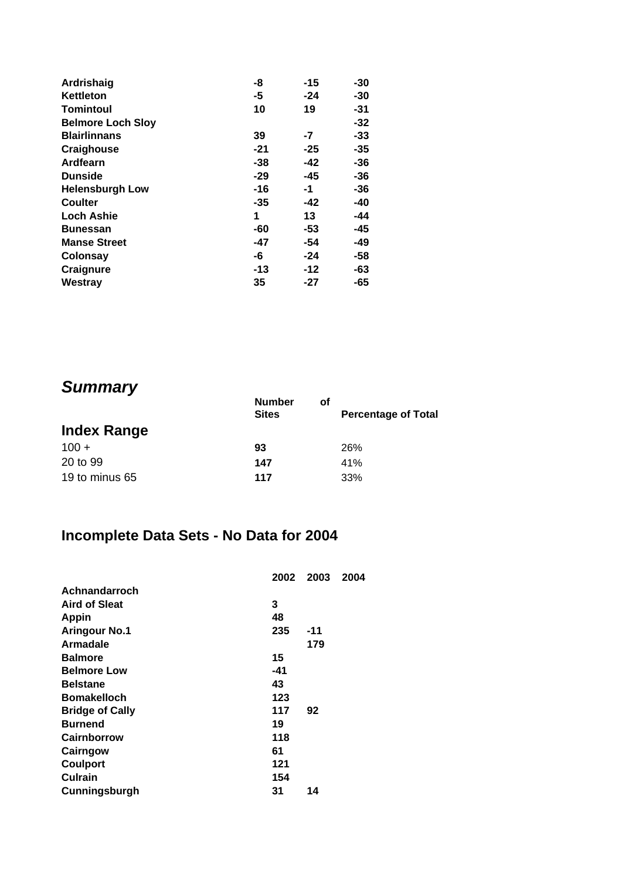| Ardrishaig               | -8    | $-15$ | -30   |
|--------------------------|-------|-------|-------|
| Kettleton                | -5    | $-24$ | -30   |
| <b>Tomintoul</b>         | 10    | 19    | -31   |
| <b>Belmore Loch Sloy</b> |       |       | $-32$ |
| <b>Blairlinnans</b>      | 39    | -7    | -33   |
| Craighouse               | $-21$ | $-25$ | $-35$ |
| Ardfearn                 | -38   | -42   | -36   |
| <b>Dunside</b>           | -29   | $-45$ | -36   |
| <b>Helensburgh Low</b>   | -16   | -1    | -36   |
| Coulter                  | -35   | -42   | -40   |
| <b>Loch Ashie</b>        | 1     | 13    | -44   |
| Bunessan                 | -60   | -53   | -45   |
| <b>Manse Street</b>      | -47   | -54   | -49   |
| <b>Colonsay</b>          | -6    | $-24$ | -58   |
| Craignure                | -13   | $-12$ | -63   |
| Westray                  | 35    | -27   | -65   |
|                          |       |       |       |

# *Summary*

|                    | <b>Number</b><br><b>Sites</b> | οf | <b>Percentage of Total</b> |
|--------------------|-------------------------------|----|----------------------------|
| <b>Index Range</b> |                               |    |                            |
| $100 +$            | 93                            |    | 26%                        |
| 20 to 99           | 147                           |    | 41%                        |
| 19 to minus 65     | 117                           |    | 33%                        |

# **Incomplete Data Sets - No Data for 2004**

|                        | 2002 | 2003 | 2004 |
|------------------------|------|------|------|
| Achnandarroch          |      |      |      |
| <b>Aird of Sleat</b>   | 3    |      |      |
| <b>Appin</b>           | 48   |      |      |
| <b>Aringour No.1</b>   | 235  | -11  |      |
| <b>Armadale</b>        |      | 179  |      |
| <b>Balmore</b>         | 15   |      |      |
| <b>Belmore Low</b>     | -41  |      |      |
| <b>Belstane</b>        | 43   |      |      |
| <b>Bomakelloch</b>     | 123  |      |      |
| <b>Bridge of Cally</b> | 117  | 92   |      |
| <b>Burnend</b>         | 19   |      |      |
| <b>Cairnborrow</b>     | 118  |      |      |
| Cairngow               | 61   |      |      |
| <b>Coulport</b>        | 121  |      |      |
| <b>Culrain</b>         | 154  |      |      |
| Cunningsburgh          | 31   | 14   |      |